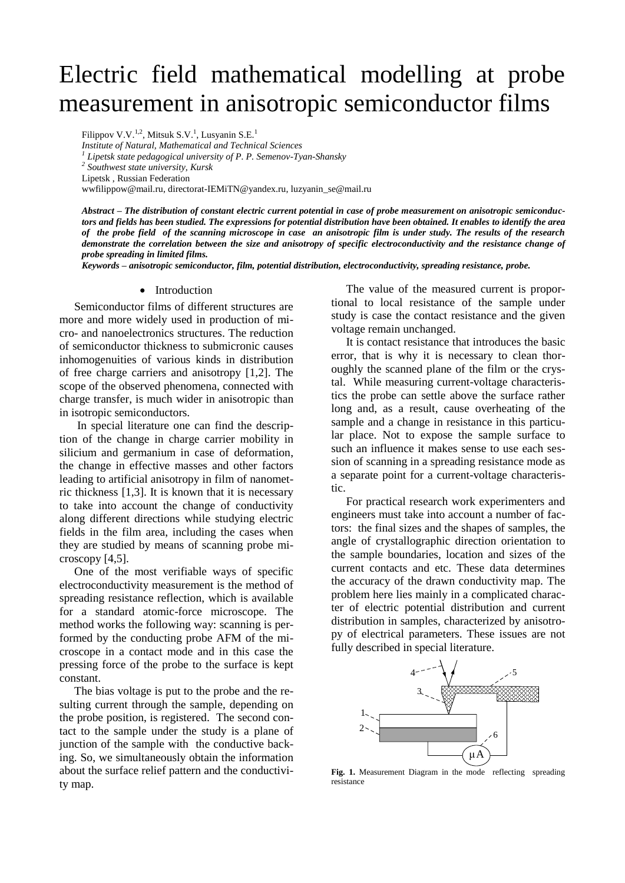# Electric field mathematical modelling at probe measurement in anisotropic semiconductor films

Filippov V.V.<sup>1,2</sup>, Mitsuk S.V.<sup>1</sup>, Lusyanin S.E.<sup>1</sup>

*Institute of Natural, Mathematical and Technical Sciences*

*1 Lipetsk state pedagogical university of P. P. Semenov-Tyan-Shansky*

*2 Southwest state university, Kursk*

Lipetsk , Russian Federation

[wwfilippow@mail.ru,](mailto:wwfilippow@mail.ru) [directorat-IEMiTN@yandex.ru,](mailto:directorat-IEMiTN@yandex.ru) [luzyanin\\_se@mail.ru](mailto:luzyanin_se@mail.ru)

*Abstract* **–** *The distribution of constant electric current potential in case of probe measurement on anisotropic semiconductors and fields has been studied. The expressions for potential distribution have been obtained. It enables to identify the area of the probe field of the scanning microscope in case an anisotropic film is under study. The results of the research demonstrate the correlation between the size and anisotropy of specific electroconductivity and the resistance change of probe spreading in limited films.*

*Keywords – anisotropic semiconductor, film, potential distribution, electroconductivity, spreading resistance, probe.*

### • Introduction

Semiconductor films of different structures are more and more widely used in production of micro- and nanoelectronics structures. The reduction of semiconductor thiсkness to submicronic causes inhomogenuities of various kinds in distribution of free charge carriers and anisotropy [1,2]. The scope of the observed phenomena, connected with charge transfer, is much wider in anisotropic than in isotropic semiconductors.

In special literature one can find the description of the change in charge carrier mobility in silicium and germanium in case of deformation, the change in effective masses and other factors leading to artificial anisotropy in film of nanometric thickness [1,3]. It is known that it is necessary to take into account the change of conductivity along different directions while studying electric fields in the film area, including the cases when they are studied by means of scanning probe microscopy [4,5].

One of the most verifiable ways of specific electroconductivity measurement is the method of spreading resistance reflection, which is available for a standard atomic-force microscope. The method works the following way: scanning is performed by the conducting probe AFM of the microscope in a contact mode and in this case the pressing force of the probe to the surface is kept constant.

The bias voltage is put to the probe and the resulting current through the sample, depending on the probe position, is registered. The second contact to the sample under the study is a plane of junction of the sample with the conductive backing. So, we simultaneously obtain the information about the surface relief pattern and the conductivity map.

The value of the measured current is proportional to local resistance of the sample under study is case the contact resistance and the given voltage remain unchanged.

It is contact resistance that introduces the basic error, that is why it is necessary to clean thoroughly the scanned plane of the film or the crystal. While measuring current-voltage characteristics the probe can settle above the surface rather long and, as a result, cause overheating of the sample and a change in resistance in this particular place. Not to expose the sample surface to such an influence it makes sense to use each session of scanning in a spreading resistance mode as a separate point for a current-voltage characteristic.

For practical research work experimenters and engineers must take into account a number of factors: the final sizes and the shapes of samples, the angle of crystallographic direction orientation to the sample boundaries, location and sizes of the current contacts and etc. These data determines the accuracy of the drawn conductivity map. The problem here lies mainly in a complicated character of electric potential distribution and current distribution in samples, characterized by anisotropy of electrical parameters. These issues are not fully described in special literature.



**Fig. 1.** Measurement Diagram in the mode reflecting spreading resistance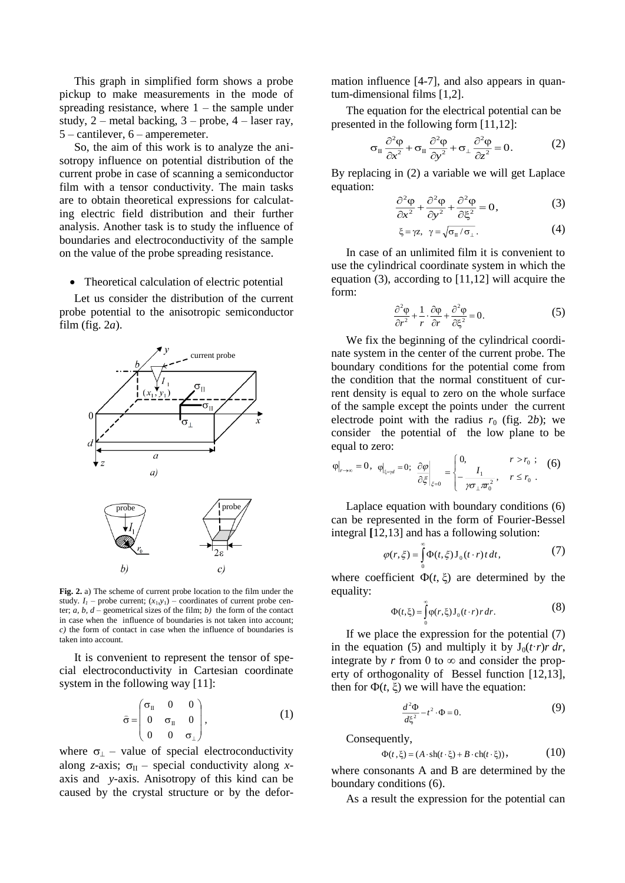This graph in simplified form shows a probe pickup to make measurements in the mode of spreading resistance, where  $1 -$  the sample under study,  $2$  – metal backing,  $3$  – probe,  $4$  – laser ray, 5 – cantilever, 6 – amperemeter.

So, the aim of this work is to analyze the anisotropy influence on potential distribution of the current probe in case of scanning a semiconductor film with a tensor conductivity. The main tasks are to obtain theoretical expressions for calculating electric field distribution and their further analysis. Another task is to study the influence of boundaries and electroconductivity of the sample on the value of the probe spreading resistance.

## Theoretical calculation of electric potential

Let us consider the distribution of the current probe potential to the anisotropic semiconductor film (fig. 2*a*).



 **Fig. 2.** a) The scheme of current probe location to the film under the study.  $I_1$  – probe current;  $(x_1, y_1)$  – coordinates of current probe center;  $a, b, d$  – geometrical sizes of the film;  $b$ ) the form of the contact in case when the influence of boundaries is not taken into account; *c)* the form of contact in case when the influence of boundaries is taken into account.

It is convenient to represent the tensor of special electroconductivity in Cartesian coordinate system in the following way [11]:

$$
\hat{\sigma} = \begin{pmatrix} \sigma_{\text{II}} & 0 & 0 \\ 0 & \sigma_{\text{II}} & 0 \\ 0 & 0 & \sigma_{\text{II}} \end{pmatrix},\tag{1}
$$

where  $\sigma_{\perp}$  – value of special electroconductivity along *z*-axis;  $\sigma_{II}$  – special conductivity along *x*axis and *y-*axis. Anisotropy of this kind can be caused by the crystal structure or by the deformation influence [4-7], and also appears in quantum-dimensional films [1,2].

The equation for the electrical potential can be presented in the following form [11,12]:

$$
\sigma_{II} \frac{\partial^2 \varphi}{\partial x^2} + \sigma_{II} \frac{\partial^2 \varphi}{\partial y^2} + \sigma_{\perp} \frac{\partial^2 \varphi}{\partial z^2} = 0.
$$
 (2)

By replacing in (2) a variable we will get Laplace equation:

$$
\frac{\partial^2 \varphi}{\partial x^2} + \frac{\partial^2 \varphi}{\partial y^2} + \frac{\partial^2 \varphi}{\partial \xi^2} = 0,
$$
 (3)

$$
\xi = \gamma z, \ \gamma = \sqrt{\sigma_{\text{II}} / \sigma_{\text{I}}} \,. \tag{4}
$$

In case of an unlimited film it is convenient to use the cylindrical coordinate system in which the equation (3), according to [11,12] will acquire the form:

$$
\frac{\partial^2 \varphi}{\partial r^2} + \frac{1}{r} \cdot \frac{\partial \varphi}{\partial r} + \frac{\partial^2 \varphi}{\partial \xi^2} = 0.
$$
 (5)

We fix the beginning of the cylindrical coordinate system in the center of the current probe. The boundary conditions for the potential come from the condition that the normal constituent of current density is equal to zero on the whole surface of the sample except the points under the current electrode point with the radius  $r_0$  (fig. 2*b*); we consider the potential of the low plane to be equal to zero:

$$
\varphi\Big|_{r\to\infty}=0,\ \varphi\Big|_{\xi=\gamma d}=0;\ \frac{\partial\varphi}{\partial\xi}\Big|_{\xi=0}=\begin{cases}0,&r>r_0;\ (6)\\-\frac{I_1}{\gamma\sigma_\perp\pi_0^2},&r\leq r_0\end{cases}.
$$

Laplace equation with boundary conditions (6) can be represented in the form of Fourier-Bessel integral **[**12,13] and has a following solution:

$$
\varphi(r,\xi) = \int_{0}^{\infty} \Phi(t,\xi) J_0(t \cdot r) t \, dt,\tag{7}
$$

where coefficient  $\Phi(t, \xi)$  are determined by the equality:

$$
\Phi(t,\xi) = \int_{0}^{\infty} \varphi(r,\xi) J_0(t \cdot r) r dr.
$$
 (8)

If we place the expression for the potential (7) in the equation (5) and multiply it by  $J_0(t \cdot r)r dr$ , integrate by *r* from 0 to  $\infty$  and consider the property of orthogonality of Bessel function [12,13], then for  $\Phi(t, \xi)$  we will have the equation:

$$
\frac{d^2\Phi}{d\xi^2} - t^2 \cdot \Phi = 0.
$$
 (9)

Consequently,

$$
\Phi(t,\xi) = (A \cdot \text{sh}(t \cdot \xi) + B \cdot \text{ch}(t \cdot \xi)),\tag{10}
$$

where consonants A and B are determined by the boundary conditions (6).

As a result the expression for the potential can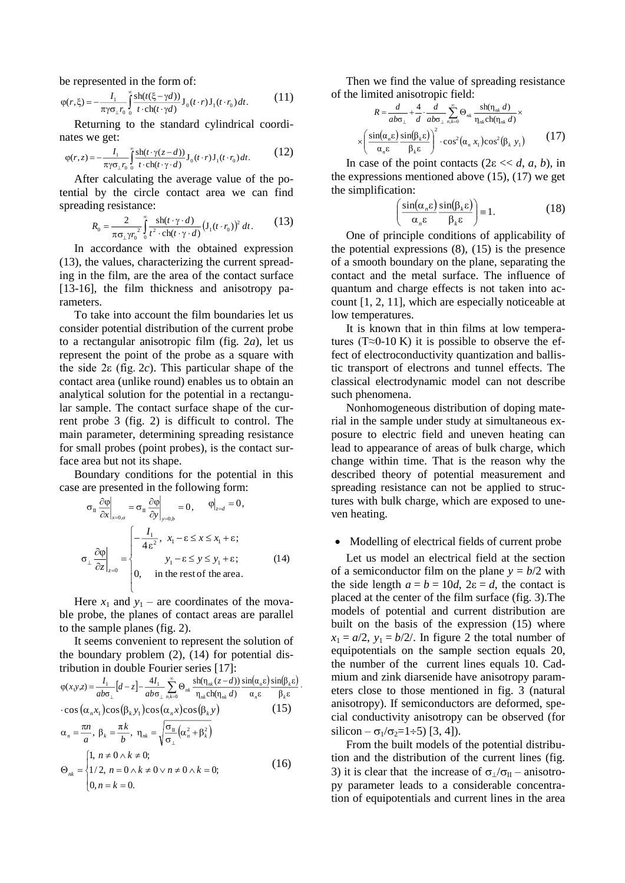be represented in the form of:

$$
\varphi(r,\xi) = -\frac{I_1}{\pi \gamma \sigma_\perp r_0} \int_0^\infty \frac{\sin(t(\xi - \gamma d))}{t \cdot \operatorname{ch}(t \cdot \gamma d)} J_0(t \cdot r) J_1(t \cdot r_0) dt. \tag{11}
$$

Returning to the standard cylindrical coordinates we get:

$$
\varphi(r,z) = -\frac{I_1}{\pi \gamma \sigma_{\perp} r_0} \int_0^\infty \frac{\sin(t \cdot \gamma(z-d))}{t \cdot \text{ch}(t \cdot \gamma \cdot d)} \mathbf{J}_0(t \cdot r) \mathbf{J}_1(t \cdot r_0) dt. \tag{12}
$$

After calculating the average value of the potential by the circle contact area we can find spreading resistance:

$$
R_0 = \frac{2}{\pi \sigma_\perp \gamma r_0^2} \int_0^\infty \frac{\sh(t \cdot \gamma \cdot d)}{t^2 \cdot \ch(t \cdot \gamma \cdot d)} (J_1(t \cdot r_0))^2 dt. \tag{13}
$$

In accordance with the obtained expression (13), the values, characterizing the current spreading in the film, are the area of the contact surface [13-16], the film thickness and anisotropy parameters.

To take into account the film boundaries let us consider potential distribution of the current probe to a rectangular anisotropic film (fig. 2*a*), let us represent the point of the probe as a square with the side 2ε (fig. 2*c*). This particular shape of the contact area (unlike round) enables us to obtain an analytical solution for the potential in a rectangular sample. The contact surface shape of the current probe 3 (fig. 2) is difficult to control. The main parameter, determining spreading resistance for small probes (point probes), is the contact surface area but not its shape.

Boundary conditions for the potential in this case are presented in the following form:

$$
\sigma_{\Pi} \frac{\partial \varphi}{\partial x}\Big|_{x=0,a} = \sigma_{\Pi} \frac{\partial \varphi}{\partial y}\Big|_{y=0,b} = 0, \qquad \varphi\Big|_{z=d} = 0,
$$
  

$$
\sigma_{\perp} \frac{\partial \varphi}{\partial z}\Big|_{z=0} = \begin{cases} -\frac{I_1}{4\epsilon^2}, & x_1 - \epsilon \le x \le x_1 + \epsilon; \\ y_1 - \epsilon \le y \le y_1 + \epsilon; \\ 0, & \text{in the rest of the area.} \end{cases}
$$
(14)

Here  $x_1$  and  $y_1$  – are coordinates of the movable probe, the planes of contact areas are parallel to the sample planes (fig. 2).

It seems convenient to represent the solution of the boundary problem (2), (14) for potential distribution in double Fourier series [17]:

$$
\varphi(x,y,z) = \frac{I_1}{ab\sigma_{\perp}} \left[ d - z \right] - \frac{4I_1}{ab\sigma_{\perp}} \sum_{n,k=0}^{\infty} \Theta_{nk} \frac{\text{sh}(\eta_{nk}(z-d))}{\eta_{nk}\text{ch}(\eta_{nk} d)} \frac{\sin(\alpha_n \varepsilon) \sin(\beta_k \varepsilon)}{\alpha_n \varepsilon} \cdot \cos(\alpha_n x_1) \cos(\beta_k y_1) \cos(\alpha_n x) \cos(\beta_k y) \tag{15}
$$

$$
\alpha_n = \frac{\pi n}{a}, \ \beta_k = \frac{\pi k}{b}, \ \eta_{nk} = \sqrt{\frac{\sigma_{\text{II}}}{\sigma_{\perp}}} \left( \alpha_n^2 + \beta_k^2 \right)
$$
  

$$
\Theta_{nk} = \begin{cases} 1, \ n \neq 0 \land k \neq 0; \\ 1/2, \ n = 0 \land k \neq 0 \lor n \neq 0 \land k = 0; \\ 0, n = k = 0. \end{cases}
$$
(16)

Then we find the value of spreading resistance of the limited anisotropic field:

$$
R = \frac{d}{ab\sigma_{\perp}} + \frac{4}{d} \cdot \frac{d}{ab\sigma_{\perp}} \sum_{n,k=0}^{\infty} \Theta_{nk} \frac{\sin(\eta_{nk} d)}{\eta_{nk} \sin(\eta_{nk} d)} \times \times \left(\frac{\sin(\alpha_n \varepsilon) \sin(\beta_k \varepsilon)}{\alpha_n \varepsilon} \right)^2 \cdot \cos^2(\alpha_n x_1) \cos^2(\beta_k y_1)
$$
(17)

In case of the point contacts ( $2\varepsilon \ll d$ , *a*, *b*), in the expressions mentioned above (15), (17) we get the simplification:

$$
\left(\frac{\sin(\alpha_n \varepsilon)}{\alpha_n \varepsilon} \frac{\sin(\beta_k \varepsilon)}{\beta_k \varepsilon}\right) = 1.
$$
 (18)

One of principle conditions of applicability of the potential expressions (8), (15) is the presence of a smooth boundary on the plane, separating the contact and the metal surface. The influence of quantum and charge effects is not taken into account [1, 2, 11], which are especially noticeable at low temperatures.

It is known that in thin films at low temperatures ( $T \approx 0$ -10 K) it is possible to observe the effect of electroconductivity quantization and ballistic transport of electrons and tunnel effects. The classical electrodynamic model can not describe such phenomena.

Nonhomogeneous distribution of doping material in the sample under study at simultaneous exposure to electric field and uneven heating can lead to appearance of areas of bulk charge, which change within time. That is the reason why the described theory of potential measurement and spreading resistance can not be applied to structures with bulk charge, which are exposed to uneven heating.

### • Modelling of electrical fields of current probe

Let us model an electrical field at the section of a semiconductor film on the plane  $y = b/2$  with the side length  $a = b = 10d$ ,  $2\varepsilon = d$ , the contact is placed at the center of the film surface (fig. 3).The models of potential and current distribution are built on the basis of the expression (15) where  $x_1 = a/2$ ,  $y_1 = b/2$ . In figure 2 the total number of equipotentials on the sample section equals 20, the number of the current lines equals 10. Cadmium and zink diarsenide have anisotropy parameters close to those mentioned in fig. 3 (natural anisotropy). If semiconductors are deformed, special conductivity anisotropy can be observed (for silicon –  $\sigma_1/\sigma_2 = 1 \div 5$  [3, 4]).

From the built models of the potential distribution and the distribution of the current lines (fig. 3) it is clear that the increase of  $\sigma_{\perp}/\sigma_{II}$  – anisotropy parameter leads to a considerable concentration of equipotentials and current lines in the area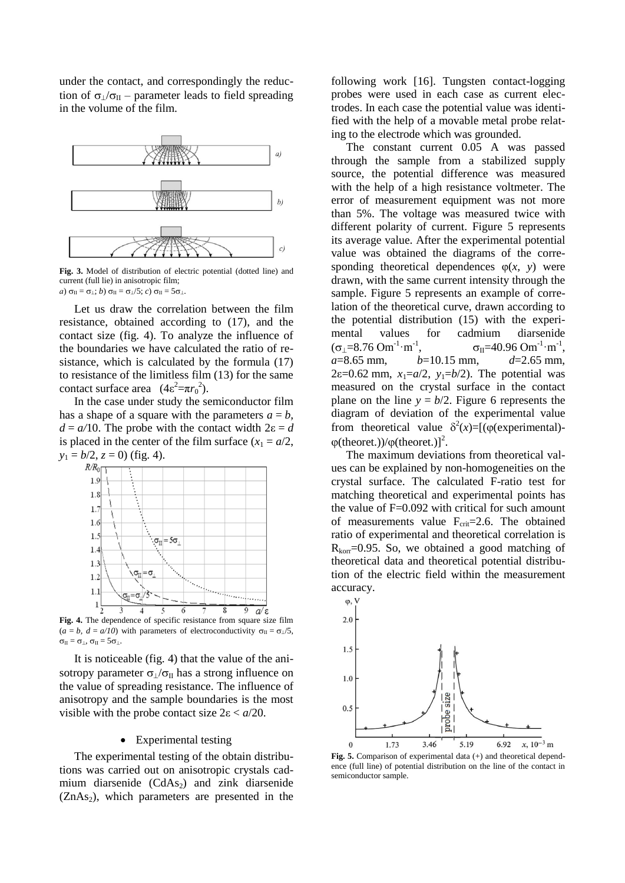under the contact, and correspondingly the reduction of  $\sigma_{\perp}/\sigma_{II}$  – parameter leads to field spreading in the volume of the film.



**Fig. 3.** Model of distribution of electric potential (dotted line) and current (full lie) in anisotropic film;  $a) \sigma_{II} = \sigma_{\perp}; b) \sigma_{II} = \sigma_{\perp}/5; c) \sigma_{II} = 5\sigma_{\perp}.$ 

Let us draw the correlation between the film resistance, obtained according to (17), and the contact size (fig. 4). To analyze the influence of the boundaries we have calculated the ratio of resistance, which is calculated by the formula (17) to resistance of the limitless film (13) for the same contact surface area  $(4\varepsilon^2 = \pi r_0^2)$ .

In the case under study the semiconductor film has a shape of a square with the parameters  $a = b$ ,  $d = a/10$ . The probe with the contact width  $2\varepsilon = d$ is placed in the center of the film surface  $(x_1 = a/2)$ ,  $y_1 = b/2$ ,  $z = 0$ ) (fig. 4).



**Fig. 4.** The dependence of specific resistance from square size film  $(a = b, d = a/10)$  with parameters of electroconductivity  $\sigma_{II} = \sigma_{II}/5$ ,  $\sigma_{\text{II}} = \sigma_{\text{I}}$ ,  $\sigma_{\text{II}} = 5\sigma_{\text{I}}$ .

It is noticeable (fig. 4) that the value of the anisotropy parameter  $\sigma_1/\sigma_{II}$  has a strong influence on the value of spreading resistance. The influence of anisotropy and the sample boundaries is the most visible with the probe contact size  $2\varepsilon < a/20$ .

## • Experimental testing

The experimental testing of the obtain distributions was carried out on anisotropic crystals cadmium diarsenide  $(CdAs<sub>2</sub>)$  and zink diarsenide  $(ZnAs<sub>2</sub>)$ , which parameters are presented in the following work [16]. Tungsten contact-logging probes were used in each case as current electrodes. In each case the potential value was identified with the help of a movable metal probe relating to the electrode which was grounded.

The constant current 0.05 A was passed through the sample from a stabilized supply source, the potential difference was measured with the help of а high resistance voltmeter. The error of measurement equipment was not more than 5%. The voltage was measured twice with different polarity of current. Figure 5 represents its average value. After the experimental potential value was obtained the diagrams of the corresponding theoretical dependences  $\varphi(x, y)$  were drawn, with the same current intensity through the sample. Figure 5 represents an example of correlation of the theoretical curve, drawn according to the potential distribution (15) with the experimental values for cadmium diarsenide  $(\sigma_{\perp} = 8.76 \text{ Om}^{-1} \cdot \text{m}^{-1})$ ,  $\sigma_{II} = 40.96 \text{ Om}^{-1} \cdot \text{m}^{-1}$ , *a*=8.65 mm, *b*=10.15 mm, *d*=2.65 mm,  $2\varepsilon=0.62$  mm,  $x_1=a/2$ ,  $y_1=b/2$ ). The potential was measured on the crystal surface in the contact plane on the line  $y = b/2$ . Figure 6 represents the diagram of deviation of the experimental value from theoretical value  $\delta^2(x) = [(\varphi(\text{experimental}) - \varphi(\text{exponential}) - \varphi(\text{exponential}) - \varphi(\text{exponential}) - \varphi(\text{exponential}) - \varphi(\text{exponential}) - \varphi(\text{exponential}) - \varphi(\text{exponential}) - \varphi(\text{exponential}) - \varphi(\text{exponential}) - \varphi(\text{exponential}) - \varphi(\text{exponential}) - \varphi(\text{exponential}) - \varphi(\text{exponential}) - \varphi(\text{exponential}) - \varphi(\text{exponential}) - \varphi(\text{exponential}) - \varphi(\text{exponential}) - \varphi(\text{exponential}) \varphi$ (theoret.))/ $\varphi$ (theoret.)]<sup>2</sup>.

The maximum deviations from theoretical values can be explained by non-homogeneities on the crystal surface. The calculated F-ratio test for matching theoretical and experimental points has the value of  $F=0.092$  with critical for such amount of measurements value  $F_{\text{crit}}=2.6$ . The obtained ratio of experimental and theoretical correlation is  $R_{\text{korr}} = 0.95$ . So, we obtained a good matching of theoretical data and theoretical potential distribution of the electric field within the measurement accuracy.



**Fig. 5.** Comparison of experimental data (+) and theoretical dependence (full line) of potential distribution on the line of the contact in semiconductor sample.